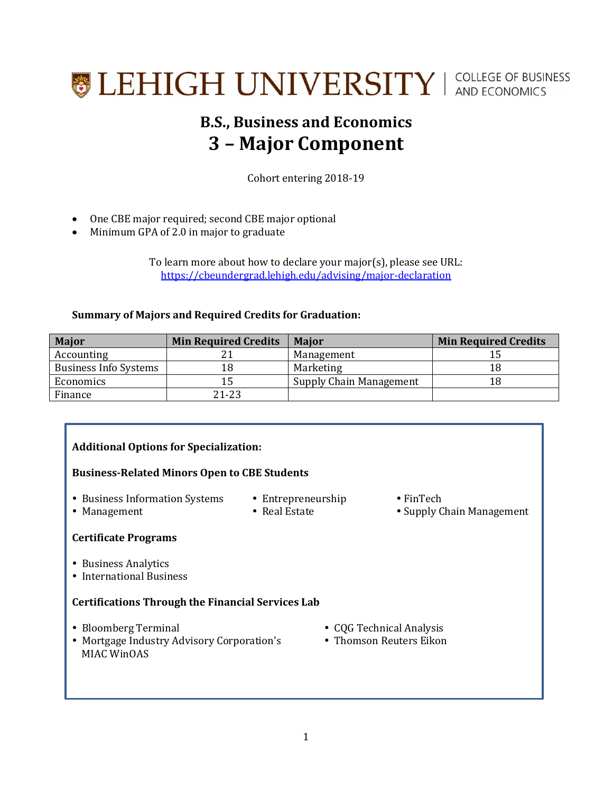# **SEHIGH UNIVERSITY** | COLLEGE OF BUSINESS

### **B.S., Business and Economics 3 – Major Component**

Cohort entering 2018-19

- One CBE major required; second CBE major optional
- Minimum GPA of 2.0 in major to graduate

To learn more about how to declare your major(s), please see URL: <https://cbeundergrad.lehigh.edu/advising/major-declaration>

#### **Summary of Majors and Required Credits for Graduation:**

| <b>Major</b>                 | <b>Min Required Credits</b> | <b>Major</b>            | <b>Min Required Credits</b> |
|------------------------------|-----------------------------|-------------------------|-----------------------------|
| Accounting                   |                             | Management              |                             |
| <b>Business Info Systems</b> | 18                          | Marketing               | 18                          |
| Economics                    |                             | Supply Chain Management | 18                          |
| Finance                      | 21-23                       |                         |                             |

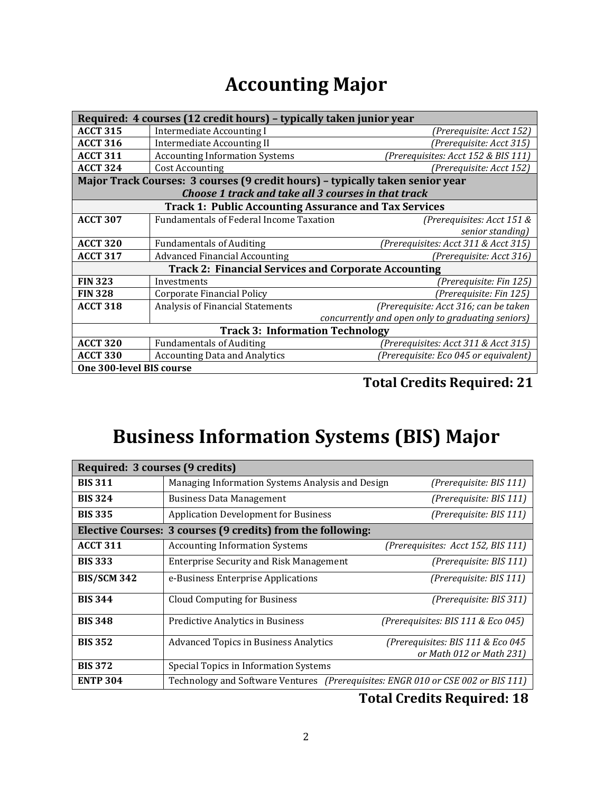### **Accounting Major**

| Required: 4 courses (12 credit hours) - typically taken junior year |                                                                               |                                       |  |
|---------------------------------------------------------------------|-------------------------------------------------------------------------------|---------------------------------------|--|
| <b>ACCT 315</b>                                                     | <b>Intermediate Accounting I</b>                                              | (Prerequisite: Acct 152)              |  |
| <b>ACCT 316</b>                                                     | <b>Intermediate Accounting II</b>                                             | (Prerequisite: Acct 315)              |  |
| <b>ACCT 311</b>                                                     | <b>Accounting Information Systems</b>                                         | (Prerequisites: Acct 152 & BIS 111)   |  |
| <b>ACCT 324</b>                                                     | <b>Cost Accounting</b><br>(Prerequisite: Acct 152)                            |                                       |  |
|                                                                     | Major Track Courses: 3 courses (9 credit hours) - typically taken senior year |                                       |  |
|                                                                     | Choose 1 track and take all 3 courses in that track                           |                                       |  |
| <b>Track 1: Public Accounting Assurance and Tax Services</b>        |                                                                               |                                       |  |
| <b>ACCT 307</b>                                                     | <b>Fundamentals of Federal Income Taxation</b>                                | (Prerequisites: Acct 151 &            |  |
|                                                                     |                                                                               | senior standing)                      |  |
| <b>ACCT 320</b>                                                     | <b>Fundamentals of Auditing</b>                                               | (Prerequisites: Acct 311 & Acct 315)  |  |
| <b>ACCT 317</b>                                                     | <b>Advanced Financial Accounting</b>                                          | (Prerequisite: Acct 316)              |  |
| <b>Track 2: Financial Services and Corporate Accounting</b>         |                                                                               |                                       |  |
| <b>FIN 323</b>                                                      | Investments                                                                   | (Prerequisite: Fin 125)               |  |
| <b>FIN 328</b>                                                      | <b>Corporate Financial Policy</b>                                             | (Prerequisite: Fin 125)               |  |
| <b>ACCT 318</b>                                                     | Analysis of Financial Statements                                              | (Prerequisite: Acct 316; can be taken |  |
|                                                                     | concurrently and open only to graduating seniors)                             |                                       |  |
| <b>Track 3: Information Technology</b>                              |                                                                               |                                       |  |
| <b>ACCT 320</b>                                                     | <b>Fundamentals of Auditing</b>                                               | (Prerequisites: Acct 311 & Acct 315)  |  |
| <b>ACCT 330</b>                                                     | <b>Accounting Data and Analytics</b>                                          | (Prerequisite: Eco 045 or equivalent) |  |
| One 300-level BIS course                                            |                                                                               |                                       |  |
|                                                                     |                                                                               |                                       |  |

#### **Total Credits Required: 21**

### **Business Information Systems (BIS) Major**

| Required: 3 courses (9 credits) |                                                                                  |                                                               |  |
|---------------------------------|----------------------------------------------------------------------------------|---------------------------------------------------------------|--|
| <b>BIS 311</b>                  | Managing Information Systems Analysis and Design<br>(Prerequisite: BIS 111)      |                                                               |  |
| <b>BIS 324</b>                  | <b>Business Data Management</b><br>(Prerequisite: BIS 111)                       |                                                               |  |
| <b>BIS 335</b>                  | <b>Application Development for Business</b><br>(Prerequisite: BIS 111)           |                                                               |  |
|                                 | Elective Courses: 3 courses (9 credits) from the following:                      |                                                               |  |
| <b>ACCT 311</b>                 | <b>Accounting Information Systems</b>                                            | (Prerequisites: Acct 152, BIS 111)                            |  |
| <b>BIS 333</b>                  | <b>Enterprise Security and Risk Management</b>                                   | (Prerequisite: BIS 111)                                       |  |
| <b>BIS/SCM 342</b>              | e-Business Enterprise Applications                                               | (Prerequisite: BIS 111)                                       |  |
| <b>BIS 344</b>                  | <b>Cloud Computing for Business</b>                                              | (Prerequisite: BIS 311)                                       |  |
| <b>BIS 348</b>                  | Predictive Analytics in Business                                                 | (Prerequisites: BIS 111 & Eco 045)                            |  |
| <b>BIS 352</b>                  | <b>Advanced Topics in Business Analytics</b>                                     | (Prerequisites: BIS 111 & Eco 045<br>or Math 012 or Math 231) |  |
| <b>BIS 372</b>                  | Special Topics in Information Systems                                            |                                                               |  |
| <b>ENTP 304</b>                 | Technology and Software Ventures (Prerequisites: ENGR 010 or CSE 002 or BIS 111) |                                                               |  |

#### **Total Credits Required: 18**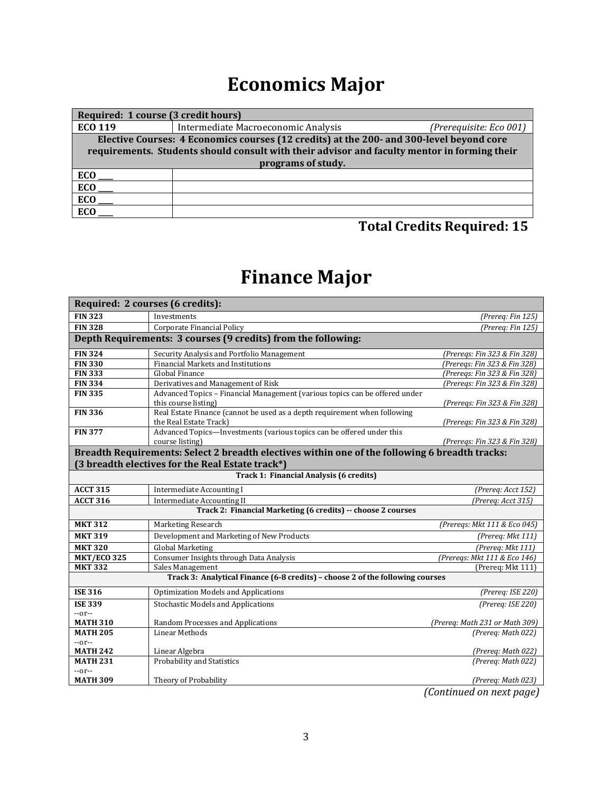## **Economics Major**

| Required: 1 course (3 credit hours)                                                          |                                     |                         |  |  |
|----------------------------------------------------------------------------------------------|-------------------------------------|-------------------------|--|--|
| <b>ECO 119</b>                                                                               | Intermediate Macroeconomic Analysis | (Prerequisite: Eco 001) |  |  |
| Elective Courses: 4 Economics courses (12 credits) at the 200- and 300-level beyond core     |                                     |                         |  |  |
| requirements. Students should consult with their advisor and faculty mentor in forming their |                                     |                         |  |  |
| programs of study.                                                                           |                                     |                         |  |  |
| <b>ECO</b>                                                                                   |                                     |                         |  |  |
| ECO                                                                                          |                                     |                         |  |  |
| <b>ECO</b>                                                                                   |                                     |                         |  |  |
| ECO                                                                                          |                                     |                         |  |  |

#### **Total Credits Required: 15**

## **Finance Major**

| Required: 2 courses (6 credits):                                              |                                                                                                 |                                |  |
|-------------------------------------------------------------------------------|-------------------------------------------------------------------------------------------------|--------------------------------|--|
| <b>FIN 323</b>                                                                | Investments                                                                                     | (Prereq: Fin 125)              |  |
| <b>FIN 328</b>                                                                | Corporate Financial Policy                                                                      | (Prereq: Fin 125)              |  |
|                                                                               | Depth Requirements: 3 courses (9 credits) from the following:                                   |                                |  |
| <b>FIN 324</b>                                                                | Security Analysis and Portfolio Management                                                      | (Prereqs: Fin 323 & Fin 328)   |  |
| <b>FIN 330</b>                                                                | Financial Markets and Institutions                                                              | (Preregs: Fin 323 & Fin 328)   |  |
| <b>FIN 333</b>                                                                | <b>Global Finance</b>                                                                           | (Preregs: Fin 323 & Fin 328)   |  |
| <b>FIN 334</b>                                                                | Derivatives and Management of Risk                                                              | (Prereqs: Fin 323 & Fin 328)   |  |
| <b>FIN 335</b>                                                                | Advanced Topics - Financial Management (various topics can be offered under                     |                                |  |
|                                                                               | this course listing)                                                                            | (Prereqs: Fin 323 & Fin 328)   |  |
| <b>FIN 336</b>                                                                | Real Estate Finance (cannot be used as a depth requirement when following                       |                                |  |
| <b>FIN 377</b>                                                                | the Real Estate Track)<br>Advanced Topics—Investments (various topics can be offered under this | (Preregs: Fin 323 & Fin 328)   |  |
|                                                                               | course listing)                                                                                 | (Prereqs: Fin 323 & Fin 328)   |  |
|                                                                               | Breadth Requirements: Select 2 breadth electives within one of the following 6 breadth tracks:  |                                |  |
|                                                                               | (3 breadth electives for the Real Estate track*)                                                |                                |  |
|                                                                               | Track 1: Financial Analysis (6 credits)                                                         |                                |  |
|                                                                               |                                                                                                 |                                |  |
| <b>ACCT 315</b>                                                               | <b>Intermediate Accounting I</b>                                                                | (Prereg: Acct 152)             |  |
| <b>ACCT 316</b>                                                               | <b>Intermediate Accounting II</b>                                                               | (Prereq: Acct 315)             |  |
|                                                                               | Track 2: Financial Marketing (6 credits) -- choose 2 courses                                    |                                |  |
| <b>MKT 312</b>                                                                | Marketing Research                                                                              | (Preregs: Mkt 111 & Eco 045)   |  |
| <b>MKT 319</b>                                                                | Development and Marketing of New Products                                                       | (Prereq: Mkt 111)              |  |
| <b>MKT 320</b>                                                                | <b>Global Marketing</b>                                                                         | (Prereq: Mkt 111)              |  |
| <b>MKT/ECO 325</b>                                                            | Consumer Insights through Data Analysis                                                         | (Prereqs: Mkt 111 & Eco 146)   |  |
| <b>MKT 332</b>                                                                | Sales Management                                                                                | (Prereq: Mkt 111)              |  |
| Track 3: Analytical Finance (6-8 credits) - choose 2 of the following courses |                                                                                                 |                                |  |
| <b>ISE 316</b>                                                                | <b>Optimization Models and Applications</b>                                                     | (Prereq: ISE 220)              |  |
| <b>ISE 339</b>                                                                | <b>Stochastic Models and Applications</b>                                                       | (Prereg: ISE 220)              |  |
| $-0r-$                                                                        |                                                                                                 |                                |  |
| <b>MATH 310</b>                                                               | Random Processes and Applications                                                               | (Prereg: Math 231 or Math 309) |  |
| <b>MATH 205</b>                                                               | Linear Methods                                                                                  | (Prereq: Math 022)             |  |
| --or--                                                                        |                                                                                                 |                                |  |
| <b>MATH 242</b>                                                               | Linear Algebra                                                                                  | (Prereq: Math 022)             |  |
| <b>MATH 231</b>                                                               | Probability and Statistics                                                                      | (Prereq: Math 022)             |  |
| --or--<br><b>MATH 309</b>                                                     | Theory of Probability                                                                           | (Prereq: Math 023)             |  |

*(Continued on next page)*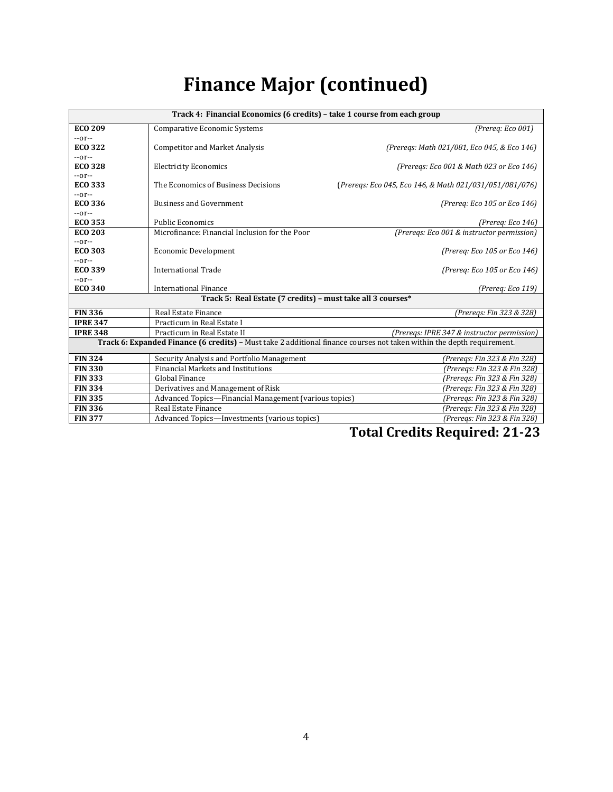# **Finance Major (continued)**

| Track 4: Financial Economics (6 credits) - take 1 course from each group                                               |                                                             |                                                         |  |
|------------------------------------------------------------------------------------------------------------------------|-------------------------------------------------------------|---------------------------------------------------------|--|
| <b>ECO 209</b>                                                                                                         | Comparative Economic Systems                                | (Prereg: Eco 001)                                       |  |
| $-0r-$                                                                                                                 |                                                             |                                                         |  |
| <b>ECO 322</b>                                                                                                         | <b>Competitor and Market Analysis</b>                       | (Preregs: Math 021/081, Eco 045, & Eco 146)             |  |
| $-0r-$                                                                                                                 |                                                             |                                                         |  |
| <b>ECO 328</b>                                                                                                         | <b>Electricity Economics</b>                                | (Preregs: Eco 001 & Math 023 or Eco 146)                |  |
| $-0r-$                                                                                                                 |                                                             |                                                         |  |
| <b>ECO 333</b>                                                                                                         | The Economics of Business Decisions                         | (Prereqs: Eco 045, Eco 146, & Math 021/031/051/081/076) |  |
| $-0r-$                                                                                                                 |                                                             |                                                         |  |
| <b>ECO 336</b>                                                                                                         | <b>Business and Government</b>                              | (Prereq: Eco 105 or Eco 146)                            |  |
| $-0r-$                                                                                                                 |                                                             |                                                         |  |
| <b>ECO 353</b>                                                                                                         | <b>Public Economics</b>                                     | (Prereq: Eco 146)                                       |  |
| <b>ECO 203</b>                                                                                                         | Microfinance: Financial Inclusion for the Poor              | (Preregs: Eco 001 & instructor permission)              |  |
| $-0r-$                                                                                                                 |                                                             |                                                         |  |
| <b>ECO 303</b>                                                                                                         | <b>Economic Development</b>                                 | (Prereg: Eco 105 or Eco 146)                            |  |
| --or--                                                                                                                 |                                                             |                                                         |  |
| <b>ECO 339</b>                                                                                                         | International Trade                                         | (Prereq: Eco 105 or Eco 146)                            |  |
| $-0r-$                                                                                                                 |                                                             |                                                         |  |
| <b>ECO 340</b>                                                                                                         | <b>International Finance</b>                                | (Prereq: Eco 119)                                       |  |
|                                                                                                                        | Track 5: Real Estate (7 credits) - must take all 3 courses* |                                                         |  |
| <b>FIN 336</b>                                                                                                         | Real Estate Finance                                         | (Preregs: Fin 323 & 328)                                |  |
| <b>IPRE 347</b>                                                                                                        | Practicum in Real Estate I                                  |                                                         |  |
| <b>IPRE 348</b>                                                                                                        | Practicum in Real Estate II                                 | (Preregs: IPRE 347 & instructor permission)             |  |
| Track 6: Expanded Finance (6 credits) - Must take 2 additional finance courses not taken within the depth requirement. |                                                             |                                                         |  |
| <b>FIN 324</b>                                                                                                         | Security Analysis and Portfolio Management                  | (Preregs: Fin 323 & Fin 328)                            |  |
| <b>FIN 330</b>                                                                                                         | Financial Markets and Institutions                          | (Preregs: Fin 323 & Fin 328)                            |  |
| <b>FIN 333</b>                                                                                                         | Global Finance                                              | (Preregs: Fin 323 & Fin 328)                            |  |
| <b>FIN 334</b>                                                                                                         | Derivatives and Management of Risk                          | (Preregs: Fin 323 & Fin 328)                            |  |
| <b>FIN 335</b>                                                                                                         | Advanced Topics-Financial Management (various topics)       | (Preregs: Fin 323 & Fin 328)                            |  |
| <b>FIN 336</b>                                                                                                         | Real Estate Finance                                         | (Preregs: Fin 323 & Fin 328)                            |  |
| <b>FIN 377</b>                                                                                                         | Advanced Topics-Investments (various topics)                | (Preregs: Fin 323 & Fin 328)                            |  |

 **Total Credits Required: 21-23**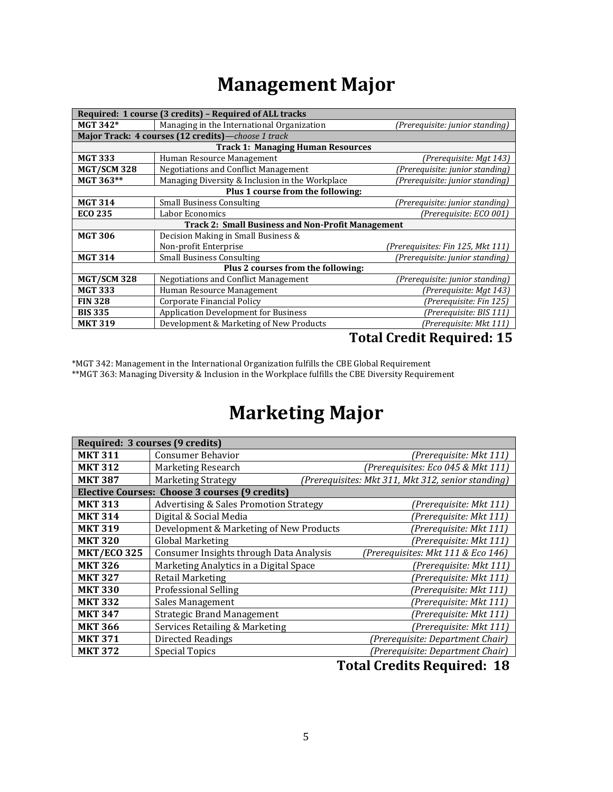### **Management Major**

| Required: 1 course (3 credits) - Required of ALL tracks  |                                                    |                                   |  |
|----------------------------------------------------------|----------------------------------------------------|-----------------------------------|--|
| <b>MGT 342*</b>                                          | Managing in the International Organization         | (Prerequisite: junior standing)   |  |
|                                                          | Major Track: 4 courses (12 credits)-choose 1 track |                                   |  |
|                                                          | <b>Track 1: Managing Human Resources</b>           |                                   |  |
| <b>MGT 333</b>                                           | Human Resource Management                          | (Prerequisite: Mgt 143)           |  |
| <b>MGT/SCM328</b>                                        | Negotiations and Conflict Management               | (Prerequisite: junior standing)   |  |
| MGT 363**                                                | Managing Diversity & Inclusion in the Workplace    | (Prerequisite: junior standing)   |  |
| Plus 1 course from the following:                        |                                                    |                                   |  |
| <b>MGT 314</b>                                           | <b>Small Business Consulting</b>                   | (Prerequisite: junior standing)   |  |
| <b>ECO 235</b>                                           | Labor Economics                                    | (Prerequisite: ECO 001)           |  |
| <b>Track 2: Small Business and Non-Profit Management</b> |                                                    |                                   |  |
| <b>MGT 306</b>                                           | Decision Making in Small Business &                |                                   |  |
|                                                          | Non-profit Enterprise                              | (Prerequisites: Fin 125, Mkt 111) |  |
| <b>MGT 314</b>                                           | <b>Small Business Consulting</b>                   | (Prerequisite: junior standing)   |  |
| Plus 2 courses from the following:                       |                                                    |                                   |  |
| <b>MGT/SCM328</b>                                        | <b>Negotiations and Conflict Management</b>        | (Prerequisite: junior standing)   |  |
| <b>MGT 333</b>                                           | Human Resource Management                          | (Prerequisite: Mgt 143)           |  |
| <b>FIN 328</b>                                           | Corporate Financial Policy                         | (Prerequisite: Fin 125)           |  |
| <b>BIS 335</b>                                           | <b>Application Development for Business</b>        | (Prerequisite: BIS 111)           |  |
| <b>MKT 319</b>                                           | Development & Marketing of New Products            | (Prereguisite: Mkt 111)           |  |

#### **Total Credit Required: 15**

\*MGT 342: Management in the International Organization fulfills the CBE Global Requirement \*\*MGT 363: Managing Diversity & Inclusion in the Workplace fulfills the CBE Diversity Requirement

### **Marketing Major**

| Required: 3 courses (9 credits) |                                                       |                                                    |                                    |  |
|---------------------------------|-------------------------------------------------------|----------------------------------------------------|------------------------------------|--|
| <b>MKT 311</b>                  | <b>Consumer Behavior</b>                              |                                                    | (Prerequisite: Mkt 111)            |  |
| <b>MKT 312</b>                  | Marketing Research                                    |                                                    | (Prerequisites: Eco 045 & Mkt 111) |  |
| <b>MKT 387</b>                  | <b>Marketing Strategy</b>                             | (Prerequisites: Mkt 311, Mkt 312, senior standing) |                                    |  |
|                                 | <b>Elective Courses: Choose 3 courses (9 credits)</b> |                                                    |                                    |  |
| <b>MKT 313</b>                  | <b>Advertising &amp; Sales Promotion Strategy</b>     |                                                    | (Prerequisite: Mkt 111)            |  |
| <b>MKT 314</b>                  | Digital & Social Media                                |                                                    | (Prerequisite: Mkt 111)            |  |
| <b>MKT 319</b>                  | Development & Marketing of New Products               |                                                    | (Prerequisite: Mkt 111)            |  |
| <b>MKT 320</b>                  | Global Marketing                                      |                                                    | (Prerequisite: Mkt 111)            |  |
| <b>MKT/ECO 325</b>              | Consumer Insights through Data Analysis               |                                                    | (Prerequisites: Mkt 111 & Eco 146) |  |
| <b>MKT 326</b>                  | Marketing Analytics in a Digital Space                |                                                    | (Prerequisite: Mkt 111)            |  |
| <b>MKT 327</b>                  | <b>Retail Marketing</b>                               |                                                    | (Prerequisite: Mkt 111)            |  |
| <b>MKT 330</b>                  | <b>Professional Selling</b>                           |                                                    | (Prerequisite: Mkt 111)            |  |
| <b>MKT 332</b>                  | Sales Management                                      |                                                    | (Prerequisite: Mkt 111)            |  |
| <b>MKT 347</b>                  | <b>Strategic Brand Management</b>                     |                                                    | (Prerequisite: Mkt 111)            |  |
| <b>MKT 366</b>                  | Services Retailing & Marketing                        |                                                    | (Prerequisite: Mkt 111)            |  |
| <b>MKT 371</b>                  | <b>Directed Readings</b>                              |                                                    | (Prerequisite: Department Chair)   |  |
| <b>MKT 372</b>                  | Special Topics                                        |                                                    | (Prerequisite: Department Chair)   |  |

#### **Total Credits Required: 18**